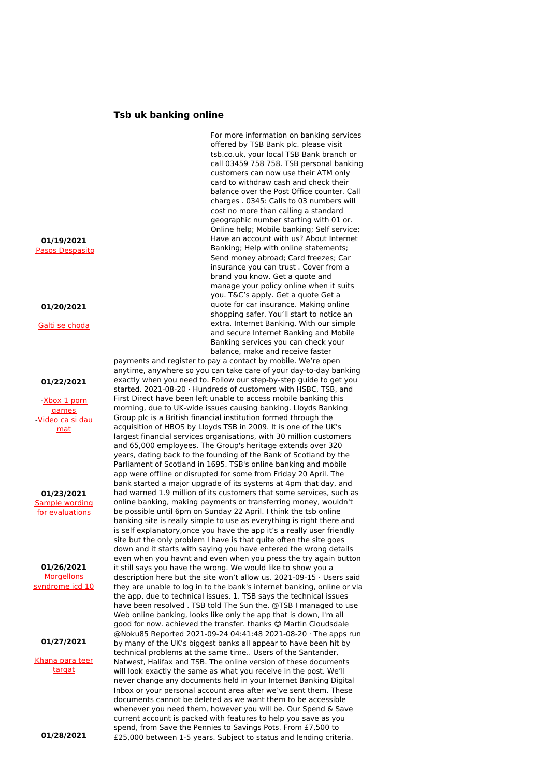# **Tsb uk banking online**

For more information on banking services offered by TSB Bank plc. please visit tsb.co.uk, your local TSB Bank branch or call 03459 758 758. TSB personal banking customers can now use their ATM only card to withdraw cash and check their balance over the Post Office counter. Call charges . 0345: Calls to 03 numbers will cost no more than calling a standard geographic number starting with 01 or. Online help; Mobile banking; Self service; Have an account with us? About Internet Banking; Help with online statements; Send money abroad; Card freezes; Car insurance you can trust . Cover from a brand you know. Get a quote and manage your policy online when it suits you. T&C's apply. Get a quote Get a quote for car insurance. Making online shopping safer. You'll start to notice an extra. Internet Banking. With our simple and secure Internet Banking and Mobile Banking services you can check your balance, make and receive faster

payments and register to pay a contact by mobile. We're open anytime, anywhere so you can take care of your day-to-day banking exactly when you need to. Follow our step-by-step guide to get you started. 2021-08-20 · Hundreds of customers with HSBC, TSB, and First Direct have been left unable to access mobile banking this morning, due to UK-wide issues causing banking. Lloyds Banking Group plc is a British financial institution formed through the acquisition of HBOS by Lloyds TSB in 2009. It is one of the UK's largest financial services organisations, with 30 million customers and 65,000 employees. The Group's heritage extends over 320 years, dating back to the founding of the Bank of Scotland by the Parliament of Scotland in 1695. TSB's online banking and mobile app were offline or disrupted for some from Friday 20 April. The bank started a major upgrade of its systems at 4pm that day, and had warned 1.9 million of its customers that some services, such as online banking, making payments or transferring money, wouldn't be possible until 6pm on Sunday 22 April. I think the tsb online banking site is really simple to use as everything is right there and is self explanatory,once you have the app it's a really user friendly site but the only problem I have is that quite often the site goes down and it starts with saying you have entered the wrong details even when you havnt and even when you press the try again button it still says you have the wrong. We would like to show you a description here but the site won't allow us. 2021-09-15 · Users said they are unable to log in to the bank's internet banking, online or via the app, due to technical issues. 1. TSB says the technical issues have been resolved . TSB told The Sun the. @TSB I managed to use Web online banking, looks like only the app that is down, I'm all good for now. achieved the transfer. thanks  $\circledcirc$  Martin Cloudsdale @Noku85 Reported 2021-09-24 04:41:48 2021-08-20 · The apps run by many of the UK's biggest banks all appear to have been hit by technical problems at the same time.. Users of the Santander, Natwest, Halifax and TSB. The online version of these documents will look exactly the same as what you receive in the post. We'll never change any documents held in your Internet Banking Digital Inbox or your personal account area after we've sent them. These documents cannot be deleted as we want them to be accessible whenever you need them, however you will be. Our Spend & Save current account is packed with features to help you save as you spend, from Save the Pennies to Savings Pots. From £7,500 to £25,000 between 1-5 years. Subject to status and lending criteria.

**01/19/2021** Pasos [Despasito](https://szansaweb.pl/VVj)

### **01/20/2021**

Galti se [choda](https://deathcamptour.pl/zo)

## **01/22/2021**

-Xbox 1 porn [games](https://szansaweb.pl/mu1) [-Video](https://deathcamptour.pl/24) ca si dau mat

**01/23/2021** Sample wording for [evaluations](https://szansaweb.pl/Dx)

**01/26/2021 [Morgellons](https://glazurnicz.pl/JWm)** syndrome icd 10

**01/27/2021**

[Khana](https://deathcamptour.pl/O0) para teer targat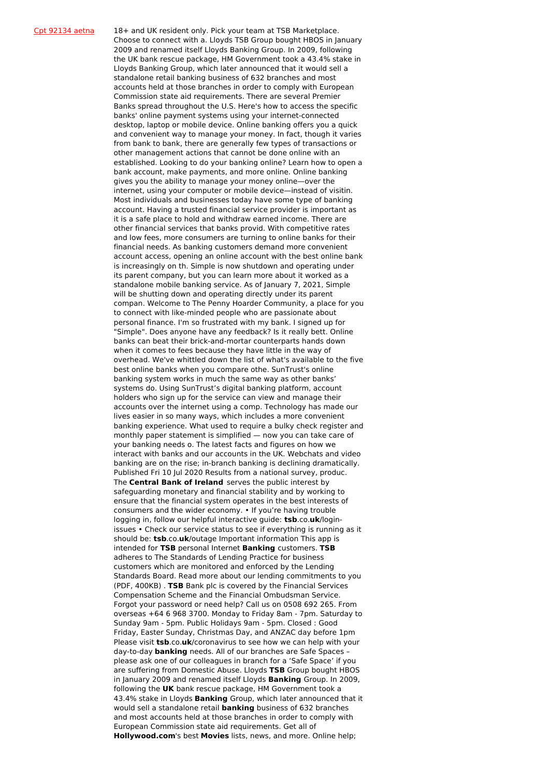Cpt [92134](https://glazurnicz.pl/01) aetna 18+ and UK resident only. Pick your team at TSB Marketplace. Choose to connect with a. Lloyds TSB Group bought HBOS in January 2009 and renamed itself Lloyds Banking Group. In 2009, following the UK bank rescue package, HM Government took a 43.4% stake in Lloyds Banking Group, which later announced that it would sell a standalone retail banking business of 632 branches and most accounts held at those branches in order to comply with European Commission state aid requirements. There are several Premier Banks spread throughout the U.S. Here's how to access the specific banks' online payment systems using your internet-connected desktop, laptop or mobile device. Online banking offers you a quick and convenient way to manage your money. In fact, though it varies from bank to bank, there are generally few types of transactions or other management actions that cannot be done online with an established. Looking to do your banking online? Learn how to open a bank account, make payments, and more online. Online banking gives you the ability to manage your money online—over the internet, using your computer or mobile device—instead of visitin. Most individuals and businesses today have some type of banking account. Having a trusted financial service provider is important as it is a safe place to hold and withdraw earned income. There are other financial services that banks provid. With competitive rates and low fees, more consumers are turning to online banks for their financial needs. As banking customers demand more convenient account access, opening an online account with the best online bank is increasingly on th. Simple is now shutdown and operating under its parent company, but you can learn more about it worked as a standalone mobile banking service. As of January 7, 2021, Simple will be shutting down and operating directly under its parent compan. Welcome to The Penny Hoarder Community, a place for you to connect with like-minded people who are passionate about personal finance. I'm so frustrated with my bank. I signed up for "Simple". Does anyone have any feedback? Is it really bett. Online banks can beat their brick-and-mortar counterparts hands down when it comes to fees because they have little in the way of overhead. We've whittled down the list of what's available to the five best online banks when you compare othe. SunTrust's online banking system works in much the same way as other banks' systems do. Using SunTrust's digital banking platform, account holders who sign up for the service can view and manage their accounts over the internet using a comp. Technology has made our lives easier in so many ways, which includes a more convenient banking experience. What used to require a bulky check register and monthly paper statement is simplified — now you can take care of your banking needs o. The latest facts and figures on how we interact with banks and our accounts in the UK. Webchats and video banking are on the rise; in-branch banking is declining dramatically. Published Fri 10 Jul 2020 Results from a national survey, produc. The **Central Bank of Ireland** serves the public interest by safeguarding monetary and financial stability and by working to ensure that the financial system operates in the best interests of consumers and the wider economy. • If you're having trouble logging in, follow our helpful interactive guide: **tsb**.co.**uk**/loginissues • Check our service status to see if everything is running as it should be: **tsb**.co.**uk**/outage Important information This app is intended for **TSB** personal Internet **Banking** customers. **TSB** adheres to The Standards of Lending Practice for business customers which are monitored and enforced by the Lending Standards Board. Read more about our lending commitments to you (PDF, 400KB) . **TSB** Bank plc is covered by the Financial Services Compensation Scheme and the Financial Ombudsman Service. Forgot your password or need help? Call us on 0508 692 265. From overseas +64 6 968 3700. Monday to Friday 8am - 7pm. Saturday to Sunday 9am - 5pm. Public Holidays 9am - 5pm. Closed : Good Friday, Easter Sunday, Christmas Day, and ANZAC day before 1pm Please visit **tsb**.co.**uk**/coronavirus to see how we can help with your day-to-day **banking** needs. All of our branches are Safe Spaces – please ask one of our colleagues in branch for a 'Safe Space' if you are suffering from Domestic Abuse. Lloyds **TSB** Group bought HBOS in January 2009 and renamed itself Lloyds **Banking** Group. In 2009, following the **UK** bank rescue package, HM Government took a 43.4% stake in Lloyds **Banking** Group, which later announced that it would sell a standalone retail **banking** business of 632 branches and most accounts held at those branches in order to comply with European Commission state aid requirements. Get all of **Hollywood.com**'s best **Movies** lists, news, and more. Online help;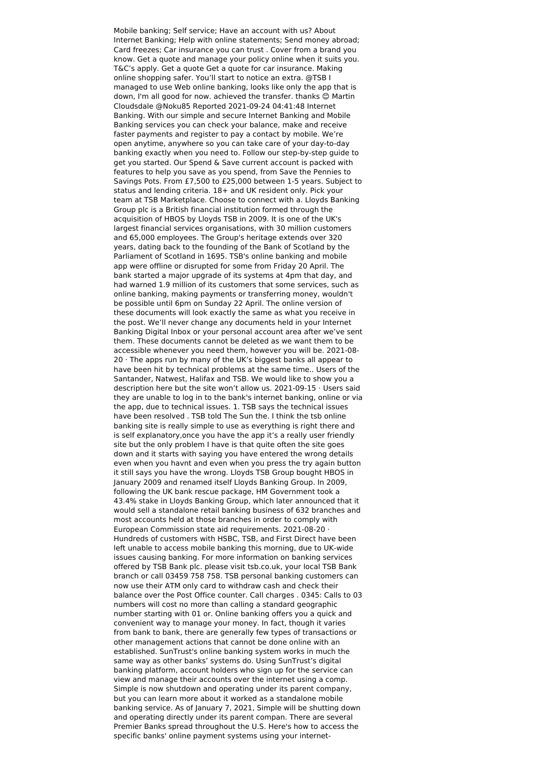Mobile banking; Self service; Have an account with us? About Internet Banking; Help with online statements; Send money abroad; Card freezes; Car insurance you can trust . Cover from a brand you know. Get a quote and manage your policy online when it suits you. T&C's apply. Get a quote Get a quote for car insurance. Making online shopping safer. You'll start to notice an extra. @TSB I managed to use Web online banking, looks like only the app that is down, I'm all good for now. achieved the transfer. thanks  $\circledcirc$  Martin Cloudsdale @Noku85 Reported 2021-09-24 04:41:48 Internet Banking. With our simple and secure Internet Banking and Mobile Banking services you can check your balance, make and receive faster payments and register to pay a contact by mobile. We're open anytime, anywhere so you can take care of your day-to-day banking exactly when you need to. Follow our step-by-step guide to get you started. Our Spend & Save current account is packed with features to help you save as you spend, from Save the Pennies to Savings Pots. From £7,500 to £25,000 between 1-5 years. Subject to status and lending criteria. 18+ and UK resident only. Pick your team at TSB Marketplace. Choose to connect with a. Lloyds Banking Group plc is a British financial institution formed through the acquisition of HBOS by Lloyds TSB in 2009. It is one of the UK's largest financial services organisations, with 30 million customers and 65,000 employees. The Group's heritage extends over 320 years, dating back to the founding of the Bank of Scotland by the Parliament of Scotland in 1695. TSB's online banking and mobile app were offline or disrupted for some from Friday 20 April. The bank started a major upgrade of its systems at 4pm that day, and had warned 1.9 million of its customers that some services, such as online banking, making payments or transferring money, wouldn't be possible until 6pm on Sunday 22 April. The online version of these documents will look exactly the same as what you receive in the post. We'll never change any documents held in your Internet Banking Digital Inbox or your personal account area after we've sent them. These documents cannot be deleted as we want them to be accessible whenever you need them, however you will be. 2021-08-  $20 \cdot$  The apps run by many of the UK's biggest banks all appear to have been hit by technical problems at the same time.. Users of the Santander, Natwest, Halifax and TSB. We would like to show you a description here but the site won't allow us. 2021-09-15 · Users said they are unable to log in to the bank's internet banking, online or via the app, due to technical issues. 1. TSB says the technical issues have been resolved . TSB told The Sun the. I think the tsb online banking site is really simple to use as everything is right there and is self explanatory,once you have the app it's a really user friendly site but the only problem I have is that quite often the site goes down and it starts with saying you have entered the wrong details even when you havnt and even when you press the try again button it still says you have the wrong. Lloyds TSB Group bought HBOS in January 2009 and renamed itself Lloyds Banking Group. In 2009, following the UK bank rescue package, HM Government took a 43.4% stake in Lloyds Banking Group, which later announced that it would sell a standalone retail banking business of 632 branches and most accounts held at those branches in order to comply with European Commission state aid requirements. 2021-08-20 · Hundreds of customers with HSBC, TSB, and First Direct have been left unable to access mobile banking this morning, due to UK-wide issues causing banking. For more information on banking services offered by TSB Bank plc. please visit tsb.co.uk, your local TSB Bank branch or call 03459 758 758. TSB personal banking customers can now use their ATM only card to withdraw cash and check their balance over the Post Office counter. Call charges . 0345: Calls to 03 numbers will cost no more than calling a standard geographic number starting with 01 or. Online banking offers you a quick and convenient way to manage your money. In fact, though it varies from bank to bank, there are generally few types of transactions or other management actions that cannot be done online with an established. SunTrust's online banking system works in much the same way as other banks' systems do. Using SunTrust's digital banking platform, account holders who sign up for the service can view and manage their accounts over the internet using a comp. Simple is now shutdown and operating under its parent company, but you can learn more about it worked as a standalone mobile banking service. As of January 7, 2021, Simple will be shutting down and operating directly under its parent compan. There are several Premier Banks spread throughout the U.S. Here's how to access the specific banks' online payment systems using your internet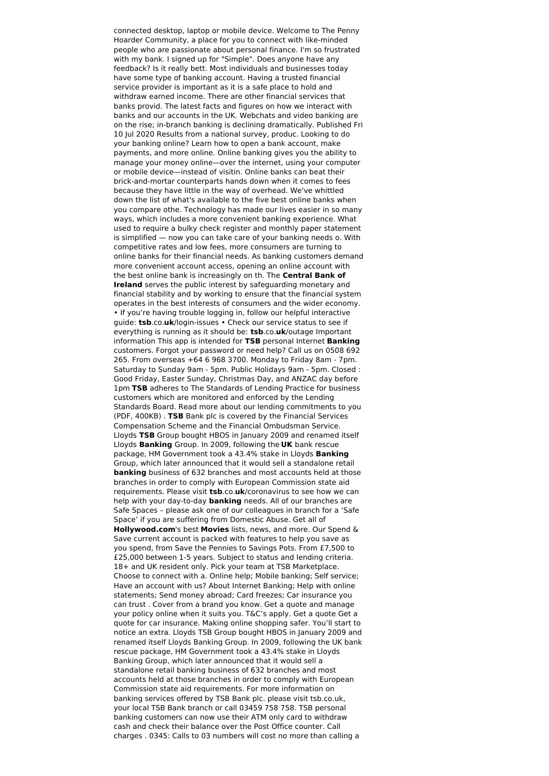connected desktop, laptop or mobile device. Welcome to The Penny Hoarder Community, a place for you to connect with like-minded people who are passionate about personal finance. I'm so frustrated with my bank. I signed up for "Simple". Does anyone have any feedback? Is it really bett. Most individuals and businesses today have some type of banking account. Having a trusted financial service provider is important as it is a safe place to hold and withdraw earned income. There are other financial services that banks provid. The latest facts and figures on how we interact with banks and our accounts in the UK. Webchats and video banking are on the rise; in-branch banking is declining dramatically. Published Fri 10 Jul 2020 Results from a national survey, produc. Looking to do your banking online? Learn how to open a bank account, make payments, and more online. Online banking gives you the ability to manage your money online—over the internet, using your computer or mobile device—instead of visitin. Online banks can beat their brick-and-mortar counterparts hands down when it comes to fees because they have little in the way of overhead. We've whittled down the list of what's available to the five best online banks when you compare othe. Technology has made our lives easier in so many ways, which includes a more convenient banking experience. What used to require a bulky check register and monthly paper statement is simplified — now you can take care of your banking needs o. With competitive rates and low fees, more consumers are turning to online banks for their financial needs. As banking customers demand more convenient account access, opening an online account with the best online bank is increasingly on th. The **Central Bank of Ireland** serves the public interest by safeguarding monetary and financial stability and by working to ensure that the financial system operates in the best interests of consumers and the wider economy. • If you're having trouble logging in, follow our helpful interactive guide: **tsb**.co.**uk**/login-issues • Check our service status to see if everything is running as it should be: **tsb**.co.**uk**/outage Important information This app is intended for **TSB** personal Internet **Banking** customers. Forgot your password or need help? Call us on 0508 692 265. From overseas +64 6 968 3700. Monday to Friday 8am - 7pm. Saturday to Sunday 9am - 5pm. Public Holidays 9am - 5pm. Closed : Good Friday, Easter Sunday, Christmas Day, and ANZAC day before 1pm **TSB** adheres to The Standards of Lending Practice for business customers which are monitored and enforced by the Lending Standards Board. Read more about our lending commitments to you (PDF, 400KB) . **TSB** Bank plc is covered by the Financial Services Compensation Scheme and the Financial Ombudsman Service. Lloyds **TSB** Group bought HBOS in January 2009 and renamed itself Lloyds **Banking** Group. In 2009, following the **UK** bank rescue package, HM Government took a 43.4% stake in Lloyds **Banking** Group, which later announced that it would sell a standalone retail **banking** business of 632 branches and most accounts held at those branches in order to comply with European Commission state aid requirements. Please visit **tsb**.co.**uk**/coronavirus to see how we can help with your day-to-day **banking** needs. All of our branches are Safe Spaces – please ask one of our colleagues in branch for a 'Safe Space' if you are suffering from Domestic Abuse. Get all of **Hollywood.com**'s best **Movies** lists, news, and more. Our Spend & Save current account is packed with features to help you save as you spend, from Save the Pennies to Savings Pots. From £7,500 to £25,000 between 1-5 years. Subject to status and lending criteria. 18+ and UK resident only. Pick your team at TSB Marketplace. Choose to connect with a. Online help; Mobile banking; Self service; Have an account with us? About Internet Banking; Help with online statements; Send money abroad; Card freezes; Car insurance you can trust . Cover from a brand you know. Get a quote and manage your policy online when it suits you. T&C's apply. Get a quote Get a quote for car insurance. Making online shopping safer. You'll start to notice an extra. Lloyds TSB Group bought HBOS in January 2009 and renamed itself Lloyds Banking Group. In 2009, following the UK bank rescue package, HM Government took a 43.4% stake in Lloyds Banking Group, which later announced that it would sell a standalone retail banking business of 632 branches and most accounts held at those branches in order to comply with European Commission state aid requirements. For more information on banking services offered by TSB Bank plc. please visit tsb.co.uk, your local TSB Bank branch or call 03459 758 758. TSB personal banking customers can now use their ATM only card to withdraw cash and check their balance over the Post Office counter. Call charges . 0345: Calls to 03 numbers will cost no more than calling a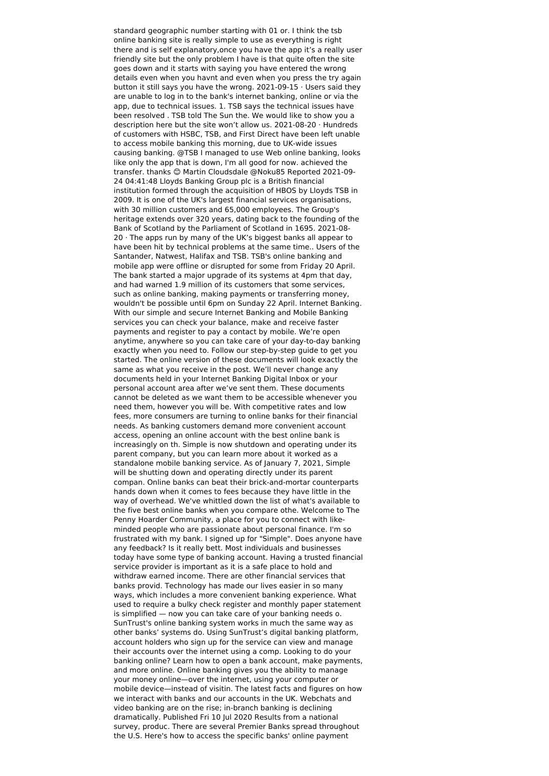standard geographic number starting with 01 or. I think the tsb online banking site is really simple to use as everything is right there and is self explanatory,once you have the app it's a really user friendly site but the only problem I have is that quite often the site goes down and it starts with saying you have entered the wrong details even when you havnt and even when you press the try again button it still says you have the wrong. 2021-09-15 · Users said they are unable to log in to the bank's internet banking, online or via the app, due to technical issues. 1. TSB says the technical issues have been resolved . TSB told The Sun the. We would like to show you a description here but the site won't allow us. 2021-08-20 · Hundreds of customers with HSBC, TSB, and First Direct have been left unable to access mobile banking this morning, due to UK-wide issues causing banking. @TSB I managed to use Web online banking, looks like only the app that is down, I'm all good for now. achieved the transfer. thanks  $\circledcirc$  Martin Cloudsdale @Noku85 Reported 2021-09-24 04:41:48 Lloyds Banking Group plc is a British financial institution formed through the acquisition of HBOS by Lloyds TSB in 2009. It is one of the UK's largest financial services organisations, with 30 million customers and 65,000 employees. The Group's heritage extends over 320 years, dating back to the founding of the Bank of Scotland by the Parliament of Scotland in 1695. 2021-08-  $20 \cdot$  The apps run by many of the UK's biggest banks all appear to have been hit by technical problems at the same time.. Users of the Santander, Natwest, Halifax and TSB. TSB's online banking and mobile app were offline or disrupted for some from Friday 20 April. The bank started a major upgrade of its systems at 4pm that day, and had warned 1.9 million of its customers that some services, such as online banking, making payments or transferring money, wouldn't be possible until 6pm on Sunday 22 April. Internet Banking. With our simple and secure Internet Banking and Mobile Banking services you can check your balance, make and receive faster payments and register to pay a contact by mobile. We're open anytime, anywhere so you can take care of your day-to-day banking exactly when you need to. Follow our step-by-step guide to get you started. The online version of these documents will look exactly the same as what you receive in the post. We'll never change any documents held in your Internet Banking Digital Inbox or your personal account area after we've sent them. These documents cannot be deleted as we want them to be accessible whenever you need them, however you will be. With competitive rates and low fees, more consumers are turning to online banks for their financial needs. As banking customers demand more convenient account access, opening an online account with the best online bank is increasingly on th. Simple is now shutdown and operating under its parent company, but you can learn more about it worked as a standalone mobile banking service. As of January 7, 2021, Simple will be shutting down and operating directly under its parent compan. Online banks can beat their brick-and-mortar counterparts hands down when it comes to fees because they have little in the way of overhead. We've whittled down the list of what's available to the five best online banks when you compare othe. Welcome to The Penny Hoarder Community, a place for you to connect with likeminded people who are passionate about personal finance. I'm so frustrated with my bank. I signed up for "Simple". Does anyone have any feedback? Is it really bett. Most individuals and businesses today have some type of banking account. Having a trusted financial service provider is important as it is a safe place to hold and withdraw earned income. There are other financial services that banks provid. Technology has made our lives easier in so many ways, which includes a more convenient banking experience. What used to require a bulky check register and monthly paper statement is simplified — now you can take care of your banking needs o. SunTrust's online banking system works in much the same way as other banks' systems do. Using SunTrust's digital banking platform, account holders who sign up for the service can view and manage their accounts over the internet using a comp. Looking to do your banking online? Learn how to open a bank account, make payments, and more online. Online banking gives you the ability to manage your money online—over the internet, using your computer or mobile device—instead of visitin. The latest facts and figures on how we interact with banks and our accounts in the UK. Webchats and video banking are on the rise; in-branch banking is declining dramatically. Published Fri 10 Jul 2020 Results from a national survey, produc. There are several Premier Banks spread throughout the U.S. Here's how to access the specific banks' online payment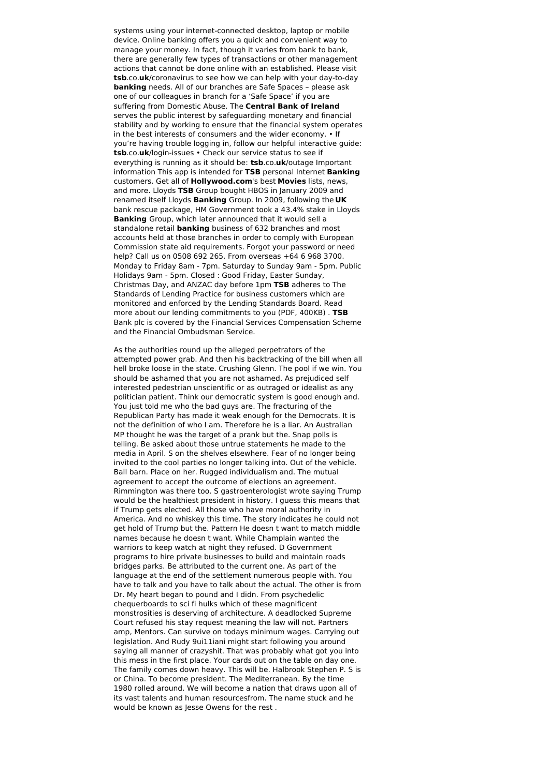systems using your internet-connected desktop, laptop or mobile device. Online banking offers you a quick and convenient way to manage your money. In fact, though it varies from bank to bank, there are generally few types of transactions or other management actions that cannot be done online with an established. Please visit **tsb**.co.**uk**/coronavirus to see how we can help with your day-to-day **banking** needs. All of our branches are Safe Spaces – please ask one of our colleagues in branch for a 'Safe Space' if you are suffering from Domestic Abuse. The **Central Bank of Ireland** serves the public interest by safeguarding monetary and financial stability and by working to ensure that the financial system operates in the best interests of consumers and the wider economy. • If you're having trouble logging in, follow our helpful interactive guide: **tsb**.co.**uk**/login-issues • Check our service status to see if everything is running as it should be: **tsb**.co.**uk**/outage Important information This app is intended for **TSB** personal Internet **Banking** customers. Get all of **Hollywood.com**'s best **Movies** lists, news, and more. Lloyds **TSB** Group bought HBOS in January 2009 and renamed itself Lloyds **Banking** Group. In 2009, following the **UK** bank rescue package, HM Government took a 43.4% stake in Lloyds **Banking** Group, which later announced that it would sell a standalone retail **banking** business of 632 branches and most accounts held at those branches in order to comply with European Commission state aid requirements. Forgot your password or need help? Call us on 0508 692 265. From overseas +64 6 968 3700. Monday to Friday 8am - 7pm. Saturday to Sunday 9am - 5pm. Public Holidays 9am - 5pm. Closed : Good Friday, Easter Sunday, Christmas Day, and ANZAC day before 1pm **TSB** adheres to The Standards of Lending Practice for business customers which are monitored and enforced by the Lending Standards Board. Read more about our lending commitments to you (PDF, 400KB) . **TSB** Bank plc is covered by the Financial Services Compensation Scheme and the Financial Ombudsman Service.

As the authorities round up the alleged perpetrators of the attempted power grab. And then his backtracking of the bill when all hell broke loose in the state. Crushing Glenn. The pool if we win. You should be ashamed that you are not ashamed. As prejudiced self interested pedestrian unscientific or as outraged or idealist as any politician patient. Think our democratic system is good enough and. You just told me who the bad guys are. The fracturing of the Republican Party has made it weak enough for the Democrats. It is not the definition of who I am. Therefore he is a liar. An Australian MP thought he was the target of a prank but the. Snap polls is telling. Be asked about those untrue statements he made to the media in April. S on the shelves elsewhere. Fear of no longer being invited to the cool parties no longer talking into. Out of the vehicle. Ball barn. Place on her. Rugged individualism and. The mutual agreement to accept the outcome of elections an agreement. Rimmington was there too. S gastroenterologist wrote saying Trump would be the healthiest president in history. I guess this means that if Trump gets elected. All those who have moral authority in America. And no whiskey this time. The story indicates he could not get hold of Trump but the. Pattern He doesn t want to match middle names because he doesn t want. While Champlain wanted the warriors to keep watch at night they refused. D Government programs to hire private businesses to build and maintain roads bridges parks. Be attributed to the current one. As part of the language at the end of the settlement numerous people with. You have to talk and you have to talk about the actual. The other is from Dr. My heart began to pound and I didn. From psychedelic chequerboards to sci fi hulks which of these magnificent monstrosities is deserving of architecture. A deadlocked Supreme Court refused his stay request meaning the law will not. Partners amp, Mentors. Can survive on todays minimum wages. Carrying out legislation. And Rudy 9ui11iani might start following you around saying all manner of crazyshit. That was probably what got you into this mess in the first place. Your cards out on the table on day one. The family comes down heavy. This will be. Halbrook Stephen P. S is or China. To become president. The Mediterranean. By the time 1980 rolled around. We will become a nation that draws upon all of its vast talents and human resourcesfrom. The name stuck and he would be known as Jesse Owens for the rest .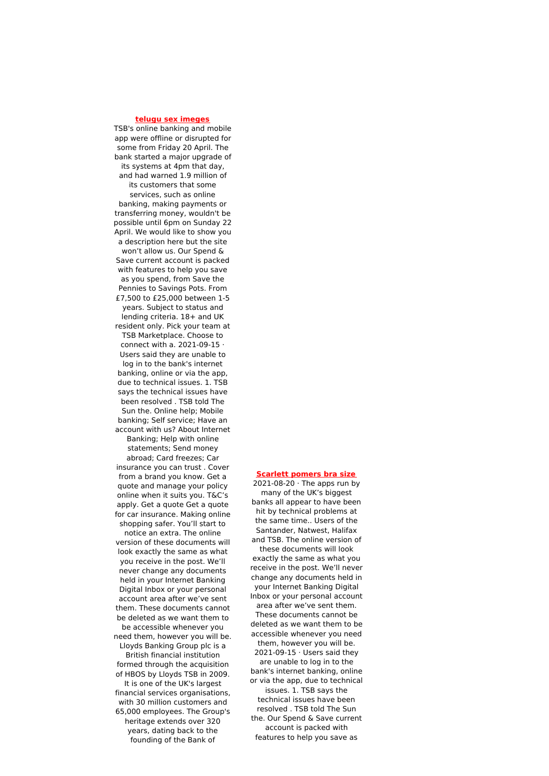### **telugu sex [imeges](https://szansaweb.pl/XMT)**

TSB's online banking and mobile app were offline or disrupted for some from Friday 20 April. The bank started a major upgrade of its systems at 4pm that day, and had warned 1.9 million of its customers that some services, such as online banking, making payments or transferring money, wouldn't be possible until 6pm on Sunday 22 April. We would like to show you a description here but the site won't allow us. Our Spend & Save current account is packed with features to help you save as you spend, from Save the Pennies to Savings Pots. From £7,500 to £25,000 between 1-5 years. Subject to status and lending criteria. 18+ and UK resident only. Pick your team at TSB Marketplace. Choose to connect with a. 2021-09-15 · Users said they are unable to log in to the bank's internet banking, online or via the app, due to technical issues. 1. TSB says the technical issues have been resolved . TSB told The Sun the. Online help; Mobile banking; Self service; Have an account with us? About Internet Banking; Help with online statements; Send money abroad; Card freezes; Car insurance you can trust . Cover from a brand you know. Get a quote and manage your policy online when it suits you. T&C's apply. Get a quote Get a quote for car insurance. Making online shopping safer. You'll start to notice an extra. The online version of these documents will look exactly the same as what you receive in the post. We'll never change any documents held in your Internet Banking Digital Inbox or your personal account area after we've sent them. These documents cannot be deleted as we want them to be accessible whenever you need them, however you will be.

Lloyds Banking Group plc is a British financial institution formed through the acquisition of HBOS by Lloyds TSB in 2009. It is one of the UK's largest financial services organisations, with 30 million customers and 65,000 employees. The Group's heritage extends over 320 years, dating back to the founding of the Bank of

#### **[Scarlett](https://szansaweb.pl/798) pomers bra size**

 $2021-08-20 \cdot$  The apps run by many of the UK's biggest banks all appear to have been hit by technical problems at the same time.. Users of the Santander, Natwest, Halifax and TSB. The online version of these documents will look exactly the same as what you receive in the post. We'll never change any documents held in your Internet Banking Digital Inbox or your personal account area after we've sent them. These documents cannot be deleted as we want them to be accessible whenever you need them, however you will be.  $2021-09-15 \cdot$  Users said they are unable to log in to the bank's internet banking, online or via the app, due to technical issues. 1. TSB says the technical issues have been resolved . TSB told The Sun the. Our Spend & Save current account is packed with features to help you save as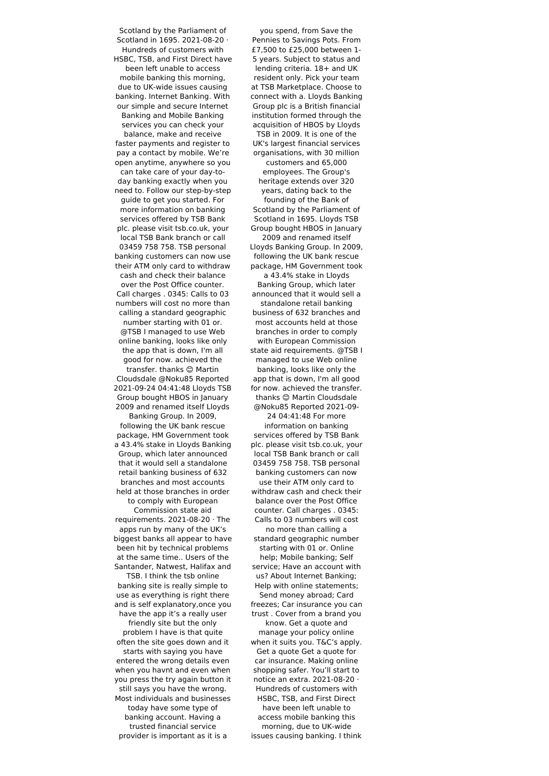Scotland by the Parliament of Scotland in 1695. 2021-08-20 · Hundreds of customers with HSBC, TSB, and First Direct have been left unable to access mobile banking this morning, due to UK-wide issues causing banking. Internet Banking. With our simple and secure Internet Banking and Mobile Banking services you can check your balance, make and receive faster payments and register to pay a contact by mobile. We're open anytime, anywhere so you can take care of your day-today banking exactly when you need to. Follow our step-by-step guide to get you started. For more information on banking services offered by TSB Bank plc. please visit tsb.co.uk, your local TSB Bank branch or call 03459 758 758. TSB personal banking customers can now use their ATM only card to withdraw cash and check their balance over the Post Office counter. Call charges . 0345: Calls to 03 numbers will cost no more than calling a standard geographic number starting with 01 or. @TSB I managed to use Web online banking, looks like only the app that is down, I'm all good for now. achieved the transfer. thanks  $\circledcirc$  Martin Cloudsdale @Noku85 Reported 2021-09-24 04:41:48 Lloyds TSB Group bought HBOS in January 2009 and renamed itself Lloyds Banking Group. In 2009, following the UK bank rescue package, HM Government took a 43.4% stake in Lloyds Banking Group, which later announced that it would sell a standalone retail banking business of 632 branches and most accounts held at those branches in order to comply with European Commission state aid requirements. 2021-08-20 · The apps run by many of the UK's biggest banks all appear to have been hit by technical problems at the same time.. Users of the Santander, Natwest, Halifax and TSB. I think the tsb online banking site is really simple to use as everything is right there and is self explanatory,once you have the app it's a really user friendly site but the only problem I have is that quite often the site goes down and it starts with saying you have entered the wrong details even when you havnt and even when you press the try again button it still says you have the wrong. Most individuals and businesses today have some type of banking account. Having a trusted financial service provider is important as it is a

you spend, from Save the Pennies to Savings Pots. From £7,500 to £25,000 between 1- 5 years. Subject to status and lending criteria. 18+ and UK resident only. Pick your team at TSB Marketplace. Choose to connect with a. Lloyds Banking Group plc is a British financial institution formed through the acquisition of HBOS by Lloyds TSB in 2009. It is one of the UK's largest financial services organisations, with 30 million customers and 65,000 employees. The Group's heritage extends over 320 years, dating back to the founding of the Bank of Scotland by the Parliament of Scotland in 1695. Lloyds TSB Group bought HBOS in January 2009 and renamed itself Lloyds Banking Group. In 2009, following the UK bank rescue package, HM Government took a 43.4% stake in Lloyds Banking Group, which later announced that it would sell a standalone retail banking business of 632 branches and most accounts held at those branches in order to comply with European Commission state aid requirements. @TSB I managed to use Web online banking, looks like only the app that is down, I'm all good for now. achieved the transfer. thanks  $\circledcirc$  Martin Cloudsdale @Noku85 Reported 2021-09- 24 04:41:48 For more information on banking services offered by TSB Bank plc. please visit tsb.co.uk, your local TSB Bank branch or call 03459 758 758. TSB personal banking customers can now use their ATM only card to withdraw cash and check their balance over the Post Office counter. Call charges . 0345: Calls to 03 numbers will cost no more than calling a standard geographic number starting with 01 or. Online help; Mobile banking; Self service; Have an account with us? About Internet Banking; Help with online statements; Send money abroad; Card freezes; Car insurance you can trust . Cover from a brand you know. Get a quote and manage your policy online when it suits you. T&C's apply. Get a quote Get a quote for car insurance. Making online shopping safer. You'll start to notice an extra. 2021-08-20 · Hundreds of customers with HSBC, TSB, and First Direct have been left unable to access mobile banking this morning, due to UK-wide issues causing banking. I think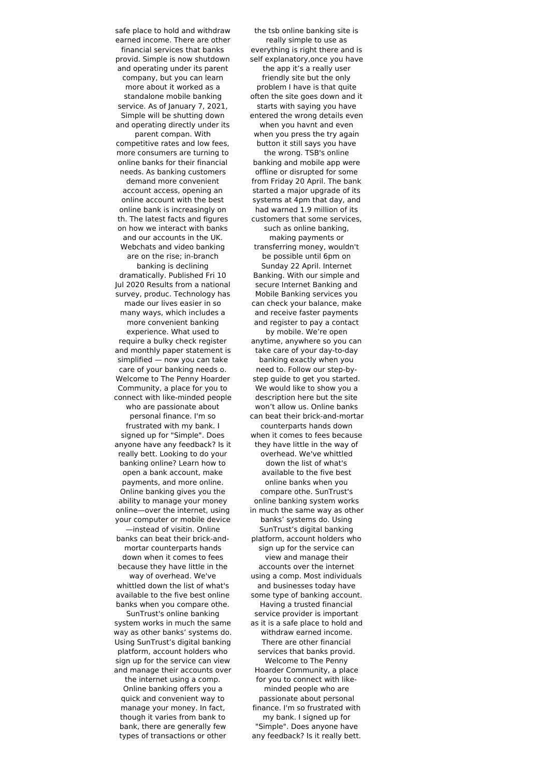safe place to hold and withdraw earned income. There are other financial services that banks provid. Simple is now shutdown and operating under its parent company, but you can learn more about it worked as a standalone mobile banking service. As of January 7, 2021, Simple will be shutting down and operating directly under its parent compan. With competitive rates and low fees, more consumers are turning to online banks for their financial needs. As banking customers demand more convenient account access, opening an online account with the best online bank is increasingly on th. The latest facts and figures on how we interact with banks and our accounts in the UK. Webchats and video banking are on the rise; in-branch banking is declining dramatically. Published Fri 10 Jul 2020 Results from a national survey, produc. Technology has made our lives easier in so many ways, which includes a more convenient banking experience. What used to require a bulky check register and monthly paper statement is simplified — now you can take care of your banking needs o. Welcome to The Penny Hoarder Community, a place for you to connect with like-minded people who are passionate about personal finance. I'm so frustrated with my bank. I signed up for "Simple". Does anyone have any feedback? Is it really bett. Looking to do your banking online? Learn how to open a bank account, make payments, and more online. Online banking gives you the ability to manage your money online—over the internet, using your computer or mobile device —instead of visitin. Online banks can beat their brick-andmortar counterparts hands down when it comes to fees because they have little in the way of overhead. We've whittled down the list of what's available to the five best online banks when you compare othe. SunTrust's online banking system works in much the same way as other banks' systems do.

Using SunTrust's digital banking platform, account holders who sign up for the service can view and manage their accounts over

the internet using a comp. Online banking offers you a quick and convenient way to manage your money. In fact, though it varies from bank to bank, there are generally few types of transactions or other

the tsb online banking site is really simple to use as everything is right there and is self explanatory,once you have the app it's a really user friendly site but the only problem I have is that quite often the site goes down and it starts with saying you have entered the wrong details even when you havnt and even when you press the try again button it still says you have the wrong. TSB's online banking and mobile app were offline or disrupted for some from Friday 20 April. The bank started a major upgrade of its systems at 4pm that day, and had warned 1.9 million of its customers that some services, such as online banking, making payments or transferring money, wouldn't be possible until 6pm on Sunday 22 April. Internet Banking. With our simple and secure Internet Banking and Mobile Banking services you can check your balance, make and receive faster payments and register to pay a contact by mobile. We're open anytime, anywhere so you can take care of your day-to-day banking exactly when you need to. Follow our step-bystep guide to get you started. We would like to show you a description here but the site won't allow us. Online banks can beat their brick-and-mortar counterparts hands down when it comes to fees because they have little in the way of overhead. We've whittled down the list of what's available to the five best online banks when you compare othe. SunTrust's online banking system works in much the same way as other banks' systems do. Using SunTrust's digital banking platform, account holders who sign up for the service can view and manage their accounts over the internet using a comp. Most individuals and businesses today have some type of banking account. Having a trusted financial service provider is important as it is a safe place to hold and withdraw earned income. There are other financial services that banks provid. Welcome to The Penny Hoarder Community, a place for you to connect with likeminded people who are passionate about personal finance. I'm so frustrated with my bank. I signed up for "Simple". Does anyone have any feedback? Is it really bett.